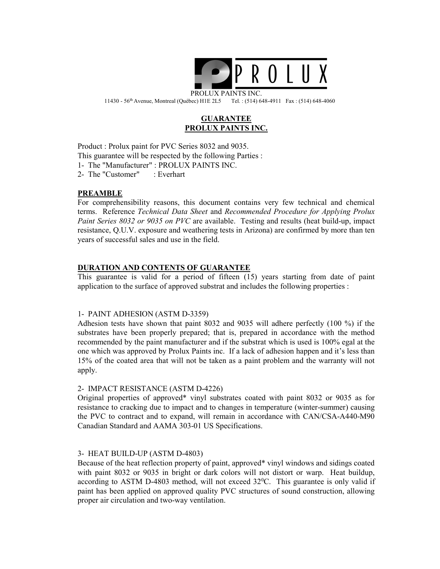

PROLUX PAINTS INC. 11430 - 56th Avenue, Montreal (Québec) H1E 2L5 Tel. : (514) 648-4911 Fax : (514) 648-4060

# GUARANTEE PROLUX PAINTS INC.

Product : Prolux paint for PVC Series 8032 and 9035. This guarantee will be respected by the following Parties : 1- The "Manufacturer" : PROLUX PAINTS INC. 2- The "Customer" : Everhart

# PREAMBLE

For comprehensibility reasons, this document contains very few technical and chemical terms. Reference Technical Data Sheet and Recommended Procedure for Applying Prolux Paint Series 8032 or 9035 on PVC are available. Testing and results (heat build-up, impact resistance, Q.U.V. exposure and weathering tests in Arizona) are confirmed by more than ten years of successful sales and use in the field.

## DURATION AND CONTENTS OF GUARANTEE

This guarantee is valid for a period of fifteen (15) years starting from date of paint application to the surface of approved substrat and includes the following properties :

#### 1- PAINT ADHESION (ASTM D-3359)

Adhesion tests have shown that paint 8032 and 9035 will adhere perfectly (100 %) if the substrates have been properly prepared; that is, prepared in accordance with the method recommended by the paint manufacturer and if the substrat which is used is 100% egal at the one which was approved by Prolux Paints inc. If a lack of adhesion happen and it's less than 15% of the coated area that will not be taken as a paint problem and the warranty will not apply.

## 2- IMPACT RESISTANCE (ASTM D-4226)

Original properties of approved\* vinyl substrates coated with paint 8032 or 9035 as for resistance to cracking due to impact and to changes in temperature (winter-summer) causing the PVC to contract and to expand, will remain in accordance with CAN/CSA-A440-M90 Canadian Standard and AAMA 303-01 US Specifications.

#### 3- HEAT BUILD-UP (ASTM D-4803)

Because of the heat reflection property of paint, approved\* vinyl windows and sidings coated with paint 8032 or 9035 in bright or dark colors will not distort or warp. Heat buildup, according to ASTM D-4803 method, will not exceed  $32^{\circ}$ C. This guarantee is only valid if paint has been applied on approved quality PVC structures of sound construction, allowing proper air circulation and two-way ventilation.